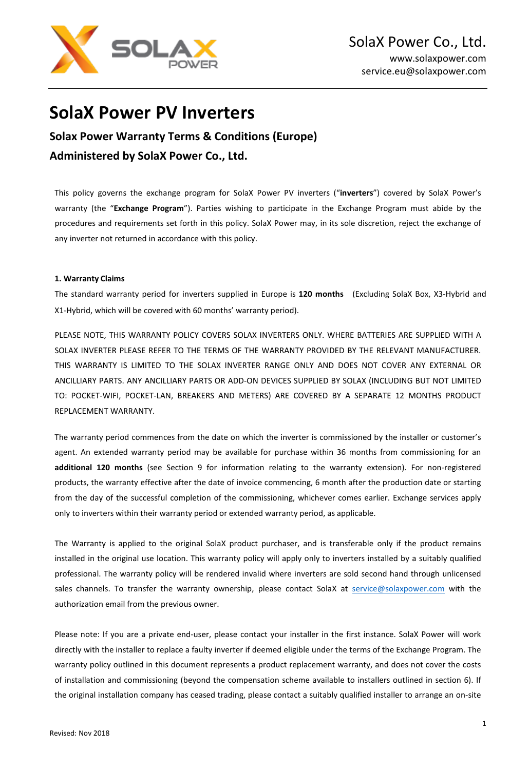

# **SolaX Power PV Inverters**

**Solax Power Warranty Terms & Conditions (Europe) Administered by SolaX Power Co., Ltd.**

This policy governs the exchange program for SolaX Power PV inverters ("**inverters**") covered by SolaX Power's warranty (the "**Exchange Program**"). Parties wishing to participate in the Exchange Program must abide by the procedures and requirements set forth in this policy. SolaX Power may, in its sole discretion, reject the exchange of any inverter not returned in accordance with this policy.

## **1. Warranty Claims**

The standard warranty period for inverters supplied in Europe is **120 months** (Excluding SolaX Box, X3-Hybrid and X1-Hybrid, which will be covered with 60 months' warranty period).

PLEASE NOTE, THIS WARRANTY POLICY COVERS SOLAX INVERTERS ONLY. WHERE BATTERIES ARE SUPPLIED WITH A SOLAX INVERTER PLEASE REFER TO THE TERMS OF THE WARRANTY PROVIDED BY THE RELEVANT MANUFACTURER. THIS WARRANTY IS LIMITED TO THE SOLAX INVERTER RANGE ONLY AND DOES NOT COVER ANY EXTERNAL OR ANCILLIARY PARTS. ANY ANCILLIARY PARTS OR ADD-ON DEVICES SUPPLIED BY SOLAX (INCLUDING BUT NOT LIMITED TO: POCKET-WIFI, POCKET-LAN, BREAKERS AND METERS) ARE COVERED BY A SEPARATE 12 MONTHS PRODUCT REPLACEMENT WARRANTY.

The warranty period commences from the date on which the inverter is commissioned by the installer or customer's agent. An extended warranty period may be available for purchase within 36 months from commissioning for an **additional 120 months** (see Section 9 for information relating to the warranty extension). For non-registered products, the warranty effective after the date of invoice commencing, 6 month after the production date or starting from the day of the successful completion of the commissioning, whichever comes earlier. Exchange services apply only to inverters within their warranty period or extended warranty period, as applicable.

The Warranty is applied to the original SolaX product purchaser, and is transferable only if the product remains installed in the original use location. This warranty policy will apply only to inverters installed by a suitably qualified professional. The warranty policy will be rendered invalid where inverters are sold second hand through unlicensed sales channels. To transfer the warranty ownership, please contact SolaX at [service@solaxpower.com](mailto:service@solaxpower.com) with the authorization email from the previous owner.

Please note: If you are a private end-user, please contact your installer in the first instance. SolaX Power will work directly with the installer to replace a faulty inverter if deemed eligible under the terms of the Exchange Program. The warranty policy outlined in this document represents a product replacement warranty, and does not cover the costs of installation and commissioning (beyond the compensation scheme available to installers outlined in section 6). If the original installation company has ceased trading, please contact a suitably qualified installer to arrange an on-site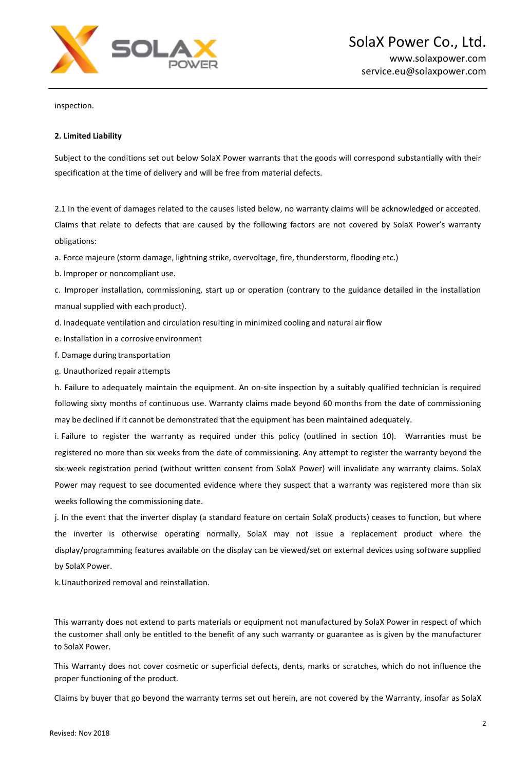

inspection.

## **2. Limited Liability**

Subject to the conditions set out below SolaX Power warrants that the goods will correspond substantially with their specification at the time of delivery and will be free from material defects.

2.1 In the event of damages related to the causes listed below, no warranty claims will be acknowledged or accepted. Claims that relate to defects that are caused by the following factors are not covered by SolaX Power's warranty obligations:

a. Force majeure (storm damage, lightning strike, overvoltage, fire, thunderstorm, flooding etc.)

b. Improper or noncompliant use.

c. Improper installation, commissioning, start up or operation (contrary to the guidance detailed in the installation manual supplied with each product).

d. Inadequate ventilation and circulation resulting in minimized cooling and natural air flow

- e. Installation in a corrosive environment
- f. Damage during transportation
- g. Unauthorized repair attempts

h. Failure to adequately maintain the equipment. An on-site inspection by a suitably qualified technician is required following sixty months of continuous use. Warranty claims made beyond 60 months from the date of commissioning may be declined if it cannot be demonstrated that the equipment has been maintained adequately.

i. Failure to register the warranty as required under this policy (outlined in section 10). Warranties must be registered no more than six weeks from the date of commissioning. Any attempt to register the warranty beyond the six-week registration period (without written consent from SolaX Power) will invalidate any warranty claims. SolaX Power may request to see documented evidence where they suspect that a warranty was registered more than six weeks following the commissioning date.

j. In the event that the inverter display (a standard feature on certain SolaX products) ceases to function, but where the inverter is otherwise operating normally, SolaX may not issue a replacement product where the display/programming features available on the display can be viewed/set on external devices using software supplied by SolaX Power.

k.Unauthorized removal and reinstallation.

This warranty does not extend to parts materials or equipment not manufactured by SolaX Power in respect of which the customer shall only be entitled to the benefit of any such warranty or guarantee as is given by the manufacturer to SolaX Power.

This Warranty does not cover cosmetic or superficial defects, dents, marks or scratches, which do not influence the proper functioning of the product.

Claims by buyer that go beyond the warranty terms set out herein, are not covered by the Warranty, insofar as SolaX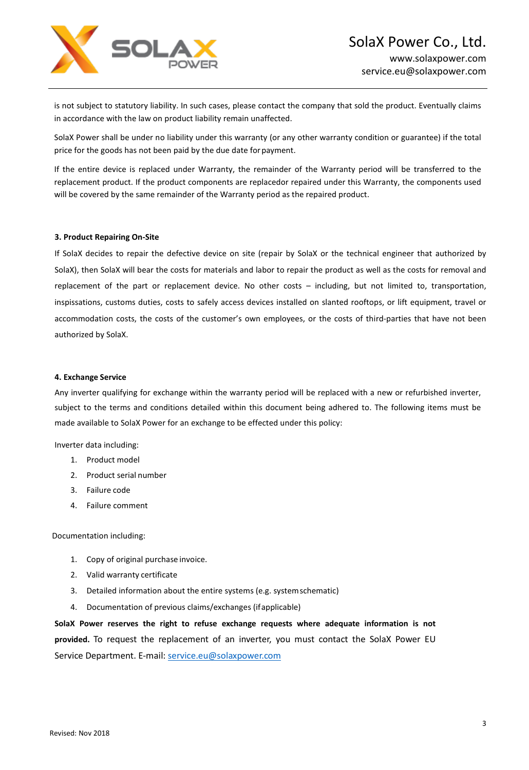

is not subject to statutory liability. In such cases, please contact the company that sold the product. Eventually claims in accordance with the law on product liability remain unaffected.

SolaX Power shall be under no liability under this warranty (or any other warranty condition or guarantee) if the total price for the goods has not been paid by the due date forpayment.

If the entire device is replaced under Warranty, the remainder of the Warranty period will be transferred to the replacement product. If the product components are replacedor repaired under this Warranty, the components used will be covered by the same remainder of the Warranty period as the repaired product.

### **3. Product Repairing On-Site**

If SolaX decides to repair the defective device on site (repair by SolaX or the technical engineer that authorized by SolaX), then SolaX will bear the costs for materials and labor to repair the product as well as the costs for removal and replacement of the part or replacement device. No other costs – including, but not limited to, transportation, inspissations, customs duties, costs to safely access devices installed on slanted rooftops, or lift equipment, travel or accommodation costs, the costs of the customer's own employees, or the costs of third-parties that have not been authorized by SolaX.

#### **4. Exchange Service**

Any inverter qualifying for exchange within the warranty period will be replaced with a new or refurbished inverter, subject to the terms and conditions detailed within this document being adhered to. The following items must be made available to SolaX Power for an exchange to be effected under this policy:

Inverter data including:

- 1. Product model
- 2. Product serial number
- 3. Failure code
- 4. Failure comment

Documentation including:

- 1. Copy of original purchase invoice.
- 2. Valid warranty certificate
- 3. Detailed information about the entire systems (e.g. systemschematic)
- 4. Documentation of previous claims/exchanges (ifapplicable)

**SolaX Power reserves the right to refuse exchange requests where adequate information is not provided.** To request the replacement of an inverter, you must contact the SolaX Power EU Service Department. E-mail: [service.eu@solaxpower.com](mailto:service.eu@solaxpower.com)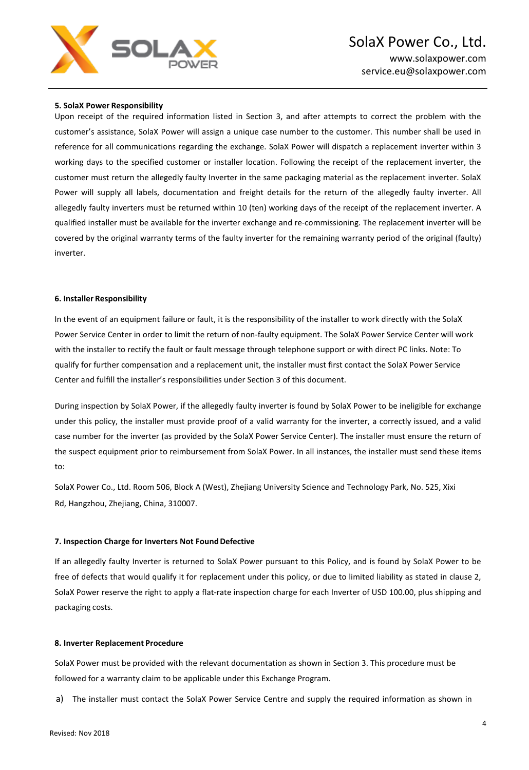

## **5. SolaX Power Responsibility**

Upon receipt of the required information listed in Section 3, and after attempts to correct the problem with the customer's assistance, SolaX Power will assign a unique case number to the customer. This number shall be used in reference for all communications regarding the exchange. SolaX Power will dispatch a replacement inverter within 3 working days to the specified customer or installer location. Following the receipt of the replacement inverter, the customer must return the allegedly faulty Inverter in the same packaging material as the replacement inverter. SolaX Power will supply all labels, documentation and freight details for the return of the allegedly faulty inverter. All allegedly faulty inverters must be returned within 10 (ten) working days of the receipt of the replacement inverter. A qualified installer must be available for the inverter exchange and re-commissioning. The replacement inverter will be covered by the original warranty terms of the faulty inverter for the remaining warranty period of the original (faulty) inverter.

#### **6. Installer Responsibility**

In the event of an equipment failure or fault, it is the responsibility of the installer to work directly with the SolaX Power Service Center in order to limit the return of non-faulty equipment. The SolaX Power Service Center will work with the installer to rectify the fault or fault message through telephone support or with direct PC links. Note: To qualify for further compensation and a replacement unit, the installer must first contact the SolaX Power Service Center and fulfill the installer's responsibilities under Section 3 of this document.

During inspection by SolaX Power, if the allegedly faulty inverter is found by SolaX Power to be ineligible for exchange under this policy, the installer must provide proof of a valid warranty for the inverter, a correctly issued, and a valid case number for the inverter (as provided by the SolaX Power Service Center). The installer must ensure the return of the suspect equipment prior to reimbursement from SolaX Power. In all instances, the installer must send these items to:

SolaX Power Co., Ltd. Room 506, Block A (West), Zhejiang University Science and Technology Park, No. 525, Xixi Rd, Hangzhou, Zhejiang, China, 310007.

#### **7. Inspection Charge for Inverters Not FoundDefective**

If an allegedly faulty Inverter is returned to SolaX Power pursuant to this Policy, and is found by SolaX Power to be free of defects that would qualify it for replacement under this policy, or due to limited liability as stated in clause 2, SolaX Power reserve the right to apply a flat-rate inspection charge for each Inverter of USD 100.00, plus shipping and packaging costs.

#### **8. Inverter Replacement Procedure**

SolaX Power must be provided with the relevant documentation as shown in Section 3. This procedure must be followed for a warranty claim to be applicable under this Exchange Program.

a) The installer must contact the SolaX Power Service Centre and supply the required information as shown in